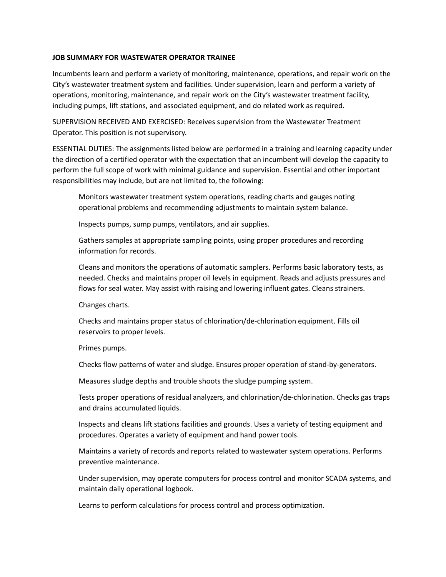## **JOB SUMMARY FOR WASTEWATER OPERATOR TRAINEE**

Incumbents learn and perform a variety of monitoring, maintenance, operations, and repair work on the City's wastewater treatment system and facilities. Under supervision, learn and perform a variety of operations, monitoring, maintenance, and repair work on the City's wastewater treatment facility, including pumps, lift stations, and associated equipment, and do related work as required.

SUPERVISION RECEIVED AND EXERCISED: Receives supervision from the Wastewater Treatment Operator. This position is not supervisory.

ESSENTIAL DUTIES: The assignments listed below are performed in a training and learning capacity under the direction of a certified operator with the expectation that an incumbent will develop the capacity to perform the full scope of work with minimal guidance and supervision. Essential and other important responsibilities may include, but are not limited to, the following:

Monitors wastewater treatment system operations, reading charts and gauges noting operational problems and recommending adjustments to maintain system balance.

Inspects pumps, sump pumps, ventilators, and air supplies.

Gathers samples at appropriate sampling points, using proper procedures and recording information for records.

Cleans and monitors the operations of automatic samplers. Performs basic laboratory tests, as needed. Checks and maintains proper oil levels in equipment. Reads and adjusts pressures and flows for seal water. May assist with raising and lowering influent gates. Cleans strainers.

Changes charts.

Checks and maintains proper status of chlorination/de-chlorination equipment. Fills oil reservoirs to proper levels.

Primes pumps.

Checks flow patterns of water and sludge. Ensures proper operation of stand-by-generators.

Measures sludge depths and trouble shoots the sludge pumping system.

Tests proper operations of residual analyzers, and chlorination/de-chlorination. Checks gas traps and drains accumulated liquids.

Inspects and cleans lift stations facilities and grounds. Uses a variety of testing equipment and procedures. Operates a variety of equipment and hand power tools.

Maintains a variety of records and reports related to wastewater system operations. Performs preventive maintenance.

Under supervision, may operate computers for process control and monitor SCADA systems, and maintain daily operational logbook.

Learns to perform calculations for process control and process optimization.